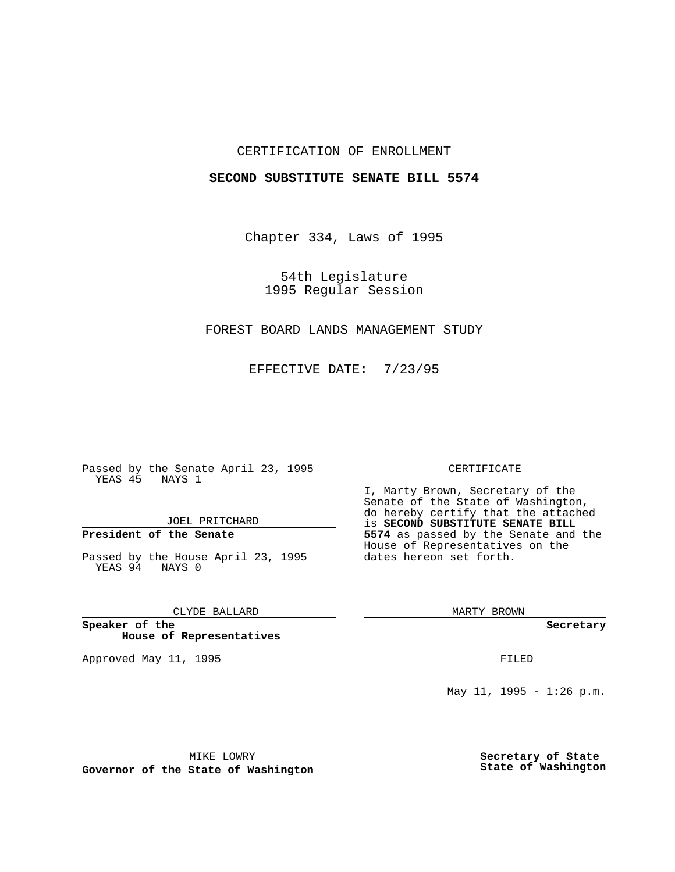## CERTIFICATION OF ENROLLMENT

### **SECOND SUBSTITUTE SENATE BILL 5574**

Chapter 334, Laws of 1995

54th Legislature 1995 Regular Session

# FOREST BOARD LANDS MANAGEMENT STUDY

EFFECTIVE DATE: 7/23/95

Passed by the Senate April 23, 1995 YEAS 45 NAYS 1

JOEL PRITCHARD

# **President of the Senate**

Passed by the House April 23, 1995 YEAS 94 NAYS 0

CLYDE BALLARD

**Speaker of the House of Representatives**

Approved May 11, 1995 **FILED** 

#### CERTIFICATE

I, Marty Brown, Secretary of the Senate of the State of Washington, do hereby certify that the attached is **SECOND SUBSTITUTE SENATE BILL 5574** as passed by the Senate and the House of Representatives on the dates hereon set forth.

MARTY BROWN

**Secretary**

May 11, 1995 - 1:26 p.m.

MIKE LOWRY

**Governor of the State of Washington**

**Secretary of State State of Washington**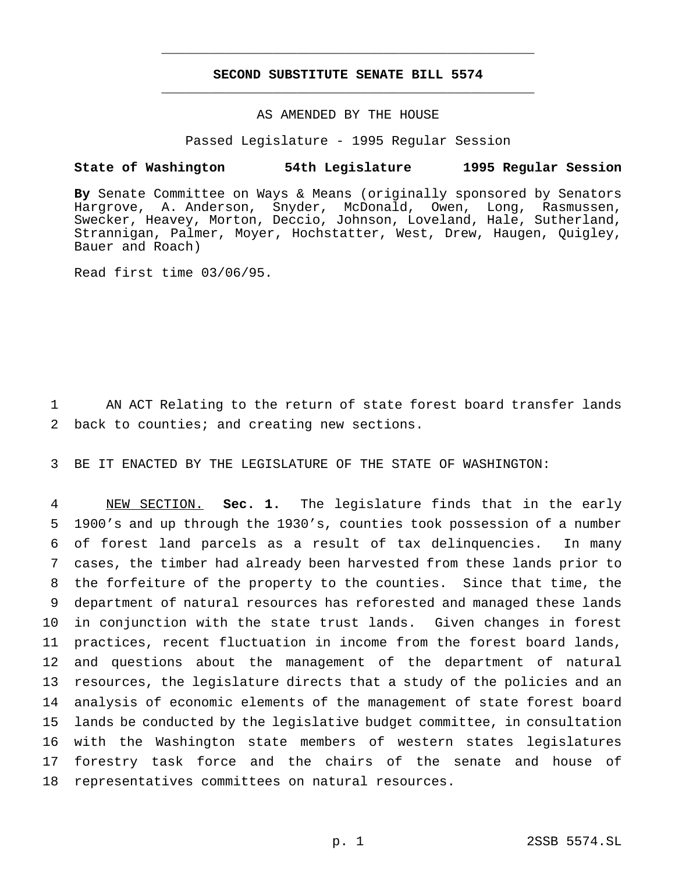## **SECOND SUBSTITUTE SENATE BILL 5574** \_\_\_\_\_\_\_\_\_\_\_\_\_\_\_\_\_\_\_\_\_\_\_\_\_\_\_\_\_\_\_\_\_\_\_\_\_\_\_\_\_\_\_\_\_\_\_

\_\_\_\_\_\_\_\_\_\_\_\_\_\_\_\_\_\_\_\_\_\_\_\_\_\_\_\_\_\_\_\_\_\_\_\_\_\_\_\_\_\_\_\_\_\_\_

## AS AMENDED BY THE HOUSE

### Passed Legislature - 1995 Regular Session

### **State of Washington 54th Legislature 1995 Regular Session**

**By** Senate Committee on Ways & Means (originally sponsored by Senators Hargrove, A. Anderson, Snyder, McDonald, Owen, Long, Rasmussen, Swecker, Heavey, Morton, Deccio, Johnson, Loveland, Hale, Sutherland, Strannigan, Palmer, Moyer, Hochstatter, West, Drew, Haugen, Quigley, Bauer and Roach)

Read first time 03/06/95.

1 AN ACT Relating to the return of state forest board transfer lands 2 back to counties; and creating new sections.

3 BE IT ENACTED BY THE LEGISLATURE OF THE STATE OF WASHINGTON:

 NEW SECTION. **Sec. 1.** The legislature finds that in the early 1900's and up through the 1930's, counties took possession of a number of forest land parcels as a result of tax delinquencies. In many cases, the timber had already been harvested from these lands prior to the forfeiture of the property to the counties. Since that time, the department of natural resources has reforested and managed these lands in conjunction with the state trust lands. Given changes in forest practices, recent fluctuation in income from the forest board lands, and questions about the management of the department of natural resources, the legislature directs that a study of the policies and an analysis of economic elements of the management of state forest board lands be conducted by the legislative budget committee, in consultation with the Washington state members of western states legislatures forestry task force and the chairs of the senate and house of representatives committees on natural resources.